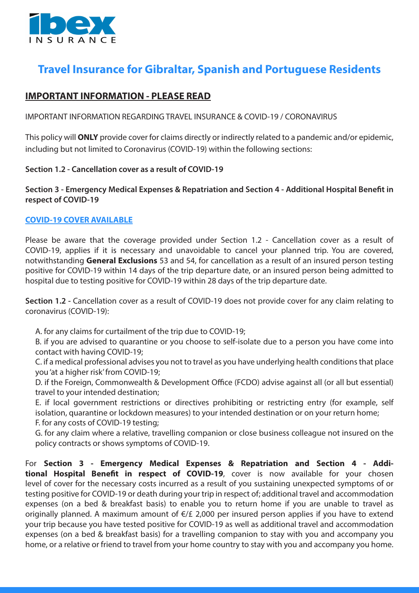

# **Travel Insurance for Gibraltar, Spanish and Portuguese Residents**

# **IMPORTANT INFORMATION - PLEASE READ**

IMPORTANT INFORMATION REGARDING TRAVEL INSURANCE & COVID-19 / CORONAVIRUS

This policy will **ONLY** provide cover for claims directly or indirectly related to a pandemic and/or epidemic, including but not limited to Coronavirus (COVID-19) within the following sections:

#### **Section 1.2 - Cancellation cover as a result of COVID-19**

## **Section 3 - Emergency Medical Expenses & Repatriation and Section 4 - Additional Hospital Benefit in respect of COVID-19**

### **COVID-19 COVER AVAILABLE**

Please be aware that the coverage provided under Section 1.2 - Cancellation cover as a result of COVID-19, applies if it is necessary and unavoidable to cancel your planned trip. You are covered, notwithstanding **General Exclusions** 53 and 54, for cancellation as a result of an insured person testing positive for COVID-19 within 14 days of the trip departure date, or an insured person being admitted to hospital due to testing positive for COVID-19 within 28 days of the trip departure date.

**Section 1.2 -** Cancellation cover as a result of COVID-19 does not provide cover for any claim relating to coronavirus (COVID-19):

A. for any claims for curtailment of the trip due to COVID-19;

B. if you are advised to quarantine or you choose to self-isolate due to a person you have come into contact with having COVID-19;

C. if a medical professional advises you not to travel as you have underlying health conditions that place you 'at a higher risk' from COVID-19;

D. if the Foreign, Commonwealth & Development Office (FCDO) advise against all (or all but essential) travel to your intended destination;

E. if local government restrictions or directives prohibiting or restricting entry (for example, self isolation, quarantine or lockdown measures) to your intended destination or on your return home; F. for any costs of COVID-19 testing;

G. for any claim where a relative, travelling companion or close business colleague not insured on the

policy contracts or shows symptoms of COVID-19.

For **Section 3 - Emergency Medical Expenses & Repatriation and Section 4 - Additional Hospital Benefit in respect of COVID-19**, cover is now available for your chosen level of cover for the necessary costs incurred as a result of you sustaining unexpected symptoms of or testing positive for COVID-19 or death during your trip in respect of; additional travel and accommodation expenses (on a bed & breakfast basis) to enable you to return home if you are unable to travel as originally planned. A maximum amount of €/£ 2,000 per insured person applies if you have to extend your trip because you have tested positive for COVID-19 as well as additional travel and accommodation expenses (on a bed & breakfast basis) for a travelling companion to stay with you and accompany you home, or a relative or friend to travel from your home country to stay with you and accompany you home.